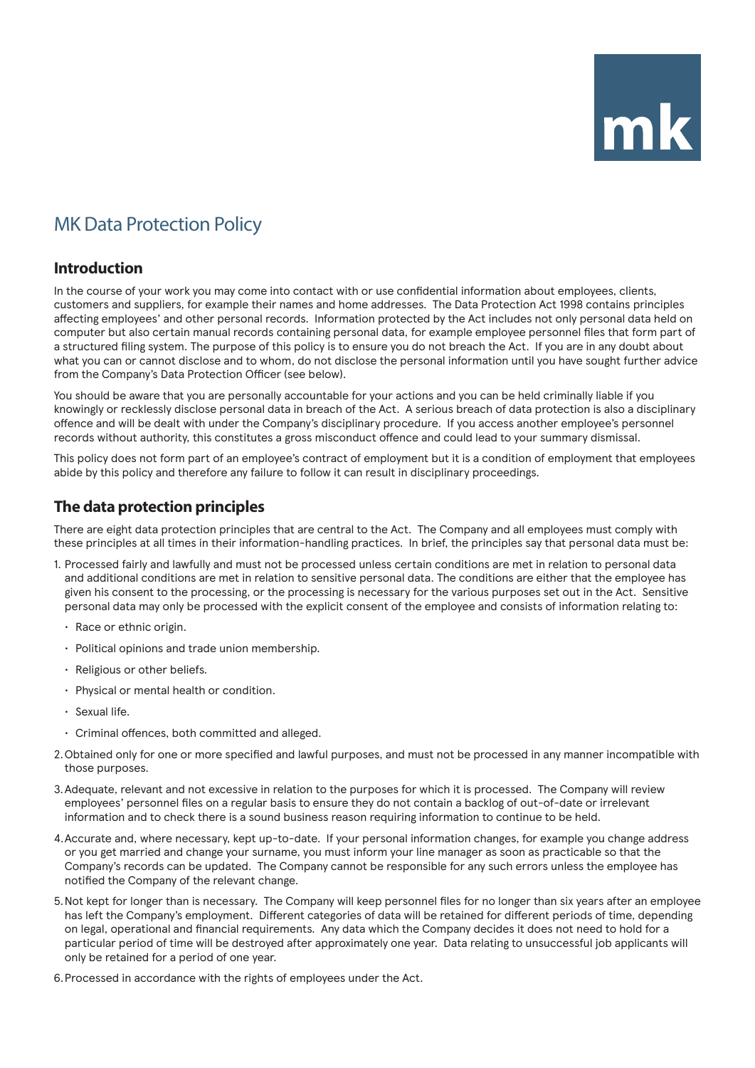# $mk$

# MK Data Protection Policy

## **Introduction**

In the course of your work you may come into contact with or use confidential information about employees, clients, customers and suppliers, for example their names and home addresses. The Data Protection Act 1998 contains principles affecting employees' and other personal records. Information protected by the Act includes not only personal data held on computer but also certain manual records containing personal data, for example employee personnel files that form part of a structured filing system. The purpose of this policy is to ensure you do not breach the Act. If you are in any doubt about what you can or cannot disclose and to whom, do not disclose the personal information until you have sought further advice from the Company's Data Protection Officer (see below).

You should be aware that you are personally accountable for your actions and you can be held criminally liable if you knowingly or recklessly disclose personal data in breach of the Act. A serious breach of data protection is also a disciplinary offence and will be dealt with under the Company's disciplinary procedure. If you access another employee's personnel records without authority, this constitutes a gross misconduct offence and could lead to your summary dismissal.

This policy does not form part of an employee's contract of employment but it is a condition of employment that employees abide by this policy and therefore any failure to follow it can result in disciplinary proceedings.

## **The data protection principles**

There are eight data protection principles that are central to the Act. The Company and all employees must comply with these principles at all times in their information-handling practices. In brief, the principles say that personal data must be:

- 1. Processed fairly and lawfully and must not be processed unless certain conditions are met in relation to personal data and additional conditions are met in relation to sensitive personal data. The conditions are either that the employee has given his consent to the processing, or the processing is necessary for the various purposes set out in the Act. Sensitive personal data may only be processed with the explicit consent of the employee and consists of information relating to:
	- Race or ethnic origin.
	- Political opinions and trade union membership.
	- Religious or other beliefs.
	- Physical or mental health or condition.
	- Sexual life.
	- Criminal offences, both committed and alleged.
- 2.Obtained only for one or more specified and lawful purposes, and must not be processed in any manner incompatible with those purposes.
- 3.Adequate, relevant and not excessive in relation to the purposes for which it is processed. The Company will review employees' personnel files on a regular basis to ensure they do not contain a backlog of out-of-date or irrelevant information and to check there is a sound business reason requiring information to continue to be held.
- 4.Accurate and, where necessary, kept up-to-date. If your personal information changes, for example you change address or you get married and change your surname, you must inform your line manager as soon as practicable so that the Company's records can be updated. The Company cannot be responsible for any such errors unless the employee has notified the Company of the relevant change.
- 5.Not kept for longer than is necessary. The Company will keep personnel files for no longer than six years after an employee has left the Company's employment. Different categories of data will be retained for different periods of time, depending on legal, operational and financial requirements. Any data which the Company decides it does not need to hold for a particular period of time will be destroyed after approximately one year. Data relating to unsuccessful job applicants will only be retained for a period of one year.
- 6.Processed in accordance with the rights of employees under the Act.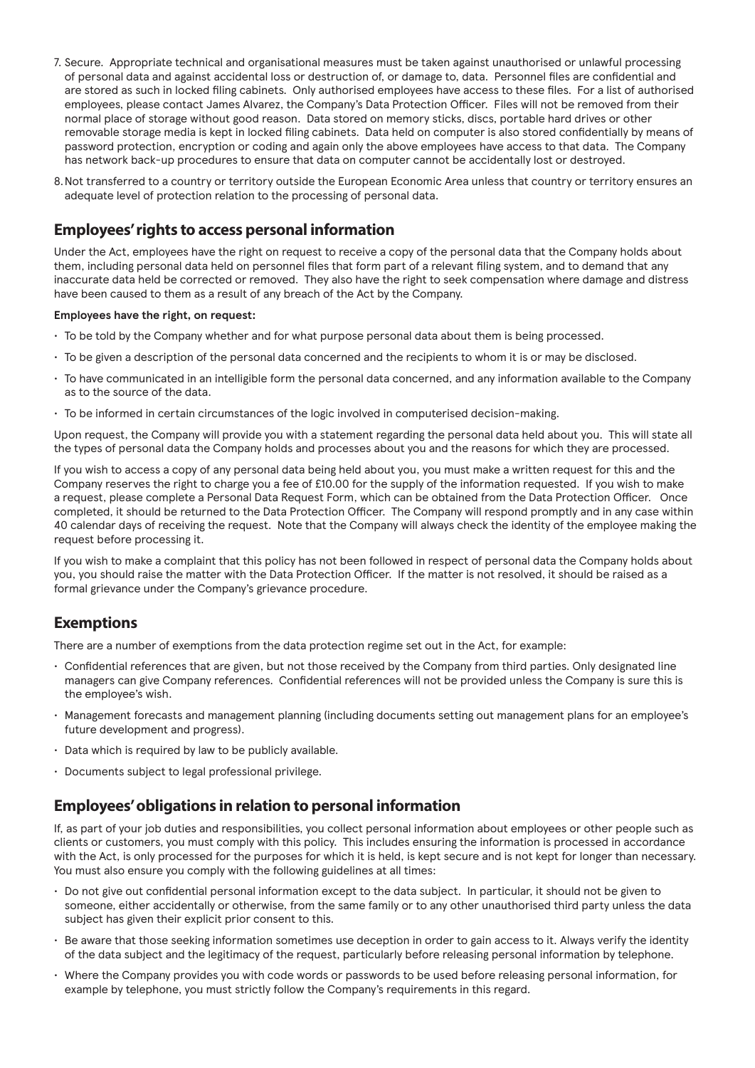- 7. Secure. Appropriate technical and organisational measures must be taken against unauthorised or unlawful processing of personal data and against accidental loss or destruction of, or damage to, data. Personnel files are confidential and are stored as such in locked filing cabinets. Only authorised employees have access to these files. For a list of authorised employees, please contact James Alvarez, the Company's Data Protection Officer. Files will not be removed from their normal place of storage without good reason. Data stored on memory sticks, discs, portable hard drives or other removable storage media is kept in locked filing cabinets. Data held on computer is also stored confidentially by means of password protection, encryption or coding and again only the above employees have access to that data. The Company has network back-up procedures to ensure that data on computer cannot be accidentally lost or destroyed.
- 8.Not transferred to a country or territory outside the European Economic Area unless that country or territory ensures an adequate level of protection relation to the processing of personal data.

### **Employees' rights to access personal information**

Under the Act, employees have the right on request to receive a copy of the personal data that the Company holds about them, including personal data held on personnel files that form part of a relevant filing system, and to demand that any inaccurate data held be corrected or removed. They also have the right to seek compensation where damage and distress have been caused to them as a result of any breach of the Act by the Company.

### **Employees have the right, on request:**

- To be told by the Company whether and for what purpose personal data about them is being processed.
- To be given a description of the personal data concerned and the recipients to whom it is or may be disclosed.
- To have communicated in an intelligible form the personal data concerned, and any information available to the Company as to the source of the data.
- To be informed in certain circumstances of the logic involved in computerised decision-making.

Upon request, the Company will provide you with a statement regarding the personal data held about you. This will state all the types of personal data the Company holds and processes about you and the reasons for which they are processed.

If you wish to access a copy of any personal data being held about you, you must make a written request for this and the Company reserves the right to charge you a fee of £10.00 for the supply of the information requested. If you wish to make a request, please complete a Personal Data Request Form, which can be obtained from the Data Protection Officer. Once completed, it should be returned to the Data Protection Officer. The Company will respond promptly and in any case within 40 calendar days of receiving the request. Note that the Company will always check the identity of the employee making the request before processing it.

If you wish to make a complaint that this policy has not been followed in respect of personal data the Company holds about you, you should raise the matter with the Data Protection Officer. If the matter is not resolved, it should be raised as a formal grievance under the Company's grievance procedure.

## **Exemptions**

There are a number of exemptions from the data protection regime set out in the Act, for example:

- Confidential references that are given, but not those received by the Company from third parties. Only designated line managers can give Company references. Confidential references will not be provided unless the Company is sure this is the employee's wish.
- Management forecasts and management planning (including documents setting out management plans for an employee's future development and progress).
- Data which is required by law to be publicly available.
- Documents subject to legal professional privilege.

## **Employees' obligations in relation to personal information**

If, as part of your job duties and responsibilities, you collect personal information about employees or other people such as clients or customers, you must comply with this policy. This includes ensuring the information is processed in accordance with the Act, is only processed for the purposes for which it is held, is kept secure and is not kept for longer than necessary. You must also ensure you comply with the following guidelines at all times:

- Do not give out confidential personal information except to the data subject. In particular, it should not be given to someone, either accidentally or otherwise, from the same family or to any other unauthorised third party unless the data subject has given their explicit prior consent to this.
- Be aware that those seeking information sometimes use deception in order to gain access to it. Always verify the identity of the data subject and the legitimacy of the request, particularly before releasing personal information by telephone.
- Where the Company provides you with code words or passwords to be used before releasing personal information, for example by telephone, you must strictly follow the Company's requirements in this regard.